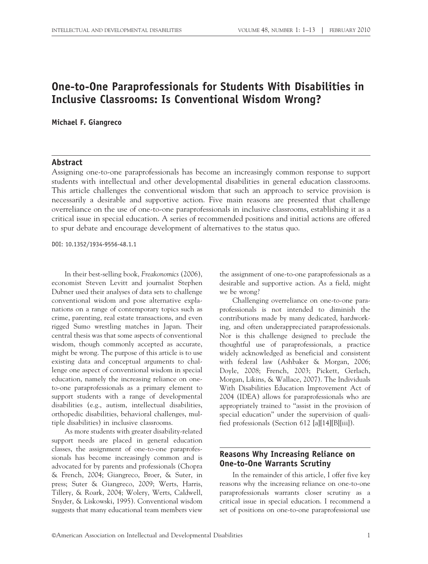# One-to-One Paraprofessionals for Students With Disabilities in Inclusive Classrooms: Is Conventional Wisdom Wrong?

#### Michael F. Giangreco

#### Abstract

Assigning one-to-one paraprofessionals has become an increasingly common response to support students with intellectual and other developmental disabilities in general education classrooms. This article challenges the conventional wisdom that such an approach to service provision is necessarily a desirable and supportive action. Five main reasons are presented that challenge overreliance on the use of one-to-one paraprofessionals in inclusive classrooms, establishing it as a critical issue in special education. A series of recommended positions and initial actions are offered to spur debate and encourage development of alternatives to the status quo.

DOI: 10.1352/1934-9556-48.1.1

In their best-selling book, Freakonomics (2006), economist Steven Levitt and journalist Stephen Dubner used their analyses of data sets to challenge conventional wisdom and pose alternative explanations on a range of contemporary topics such as crime, parenting, real estate transactions, and even rigged Sumo wrestling matches in Japan. Their central thesis was that some aspects of conventional wisdom, though commonly accepted as accurate, might be wrong. The purpose of this article is to use existing data and conceptual arguments to challenge one aspect of conventional wisdom in special education, namely the increasing reliance on oneto-one paraprofessionals as a primary element to support students with a range of developmental disabilities (e.g., autism, intellectual disabilities, orthopedic disabilities, behavioral challenges, multiple disabilities) in inclusive classrooms.

As more students with greater disability-related support needs are placed in general education classes, the assignment of one-to-one paraprofessionals has become increasingly common and is advocated for by parents and professionals (Chopra & French, 2004; Giangreco, Broer, & Suter, in press; Suter & Giangreco, 2009; Werts, Harris, Tillery, & Roark, 2004; Wolery, Werts, Caldwell, Snyder, & Liskowski, 1995). Conventional wisdom suggests that many educational team members view

the assignment of one-to-one paraprofessionals as a desirable and supportive action. As a field, might we be wrong?

Challenging overreliance on one-to-one paraprofessionals is not intended to diminish the contributions made by many dedicated, hardworking, and often underappreciated paraprofessionals. Nor is this challenge designed to preclude the thoughtful use of paraprofessionals, a practice widely acknowledged as beneficial and consistent with federal law (Ashbaker & Morgan, 2006; Doyle, 2008; French, 2003; Pickett, Gerlach, Morgan, Likins, & Wallace, 2007). The Individuals With Disabilities Education Improvement Act of 2004 (IDEA) allows for paraprofessionals who are appropriately trained to ''assist in the provision of special education'' under the supervision of qualified professionals (Section 612 [a][14][B][iii]).

## Reasons Why Increasing Reliance on One-to-One Warrants Scrutiny

In the remainder of this article, I offer five key reasons why the increasing reliance on one-to-one paraprofessionals warrants closer scrutiny as a critical issue in special education. I recommend a set of positions on one-to-one paraprofessional use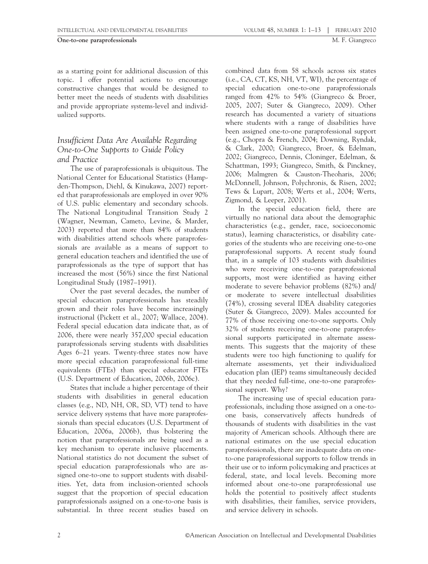as a starting point for additional discussion of this topic. I offer potential actions to encourage constructive changes that would be designed to better meet the needs of students with disabilities and provide appropriate systems-level and individualized supports.

## Insufficient Data Are Available Regarding One-to-One Supports to Guide Policy and Practice

The use of paraprofessionals is ubiquitous. The National Center for Educational Statistics (Hampden-Thompson, Diehl, & Kinukawa, 2007) reported that paraprofessionals are employed in over 90% of U.S. public elementary and secondary schools. The National Longitudinal Transition Study 2 (Wagner, Newman, Cameto, Levine, & Marder, 2003) reported that more than 84% of students with disabilities attend schools where paraprofessionals are available as a means of support to general education teachers and identified the use of paraprofessionals as the type of support that has increased the most (56%) since the first National Longitudinal Study (1987–1991).

Over the past several decades, the number of special education paraprofessionals has steadily grown and their roles have become increasingly instructional (Pickett et al., 2007; Wallace, 2004). Federal special education data indicate that, as of 2006, there were nearly 357,000 special education paraprofessionals serving students with disabilities Ages 6–21 years. Twenty-three states now have more special education paraprofessional full-time equivalents (FTEs) than special educator FTEs (U.S. Department of Education, 2006b, 2006c).

States that include a higher percentage of their students with disabilities in general education classes (e.g., ND, NH, OR, SD, VT) tend to have service delivery systems that have more paraprofessionals than special educators (U.S. Department of Education, 2006a, 2006b), thus bolstering the notion that paraprofessionals are being used as a key mechanism to operate inclusive placements. National statistics do not document the subset of special education paraprofessionals who are assigned one-to-one to support students with disabilities. Yet, data from inclusion-oriented schools suggest that the proportion of special education paraprofessionals assigned on a one-to-one basis is substantial. In three recent studies based on

combined data from 58 schools across six states (i.e., CA, CT, KS, NH, VT, WI), the percentage of special education one-to-one paraprofessionals ranged from 42% to 54% (Giangreco & Broer, 2005, 2007; Suter & Giangreco, 2009). Other research has documented a variety of situations where students with a range of disabilities have been assigned one-to-one paraprofessional support (e.g., Chopra & French, 2004; Downing, Ryndak, & Clark, 2000; Giangreco, Broer, & Edelman, 2002; Giangreco, Dennis, Cloninger, Edelman, & Schattman, 1993; Giangreco, Smith, & Pinckney, 2006; Malmgren & Causton-Theoharis, 2006; McDonnell, Johnson, Polychronis, & Risen, 2002; Tews & Lupart, 2008; Werts et al., 2004; Werts, Zigmond, & Leeper, 2001).

In the special education field, there are virtually no national data about the demographic characteristics (e.g., gender, race, socioeconomic status), learning characteristics, or disability categories of the students who are receiving one-to-one paraprofessional supports. A recent study found that, in a sample of 103 students with disabilities who were receiving one-to-one paraprofessional supports, most were identified as having either moderate to severe behavior problems (82%) and/ or moderate to severe intellectual disabilities (74%), crossing several IDEA disability categories (Suter & Giangreco, 2009). Males accounted for 77% of those receiving one-to-one supports. Only 32% of students receiving one-to-one paraprofessional supports participated in alternate assessments. This suggests that the majority of these students were too high functioning to qualify for alternate assessments, yet their individualized education plan (IEP) teams simultaneously decided that they needed full-time, one-to-one paraprofessional support. Why?

The increasing use of special education paraprofessionals, including those assigned on a one-toone basis, conservatively affects hundreds of thousands of students with disabilities in the vast majority of American schools. Although there are national estimates on the use special education paraprofessionals, there are inadequate data on oneto-one paraprofessional supports to follow trends in their use or to inform policymaking and practices at federal, state, and local levels. Becoming more informed about one-to-one paraprofessional use holds the potential to positively affect students with disabilities, their families, service providers, and service delivery in schools.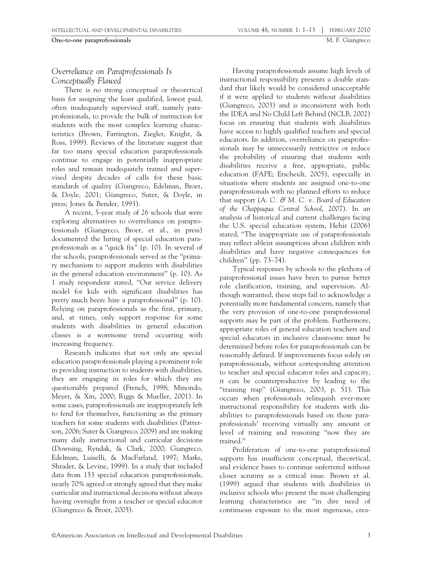# Overreliance on Paraprofessionals Is Conceptually Flawed

There is no strong conceptual or theoretical basis for assigning the least qualified, lowest paid, often inadequately supervised staff, namely paraprofessionals, to provide the bulk of instruction for students with the most complex learning characteristics (Brown, Farrington, Ziegler, Knight, & Ross, 1999). Reviews of the literature suggest that far too many special education paraprofessionals continue to engage in potentially inappropriate roles and remain inadequately trained and supervised despite decades of calls for these basic standards of quality (Giangreco, Edelman, Broer, & Doyle, 2001; Giangreco, Suter, & Doyle, in press; Jones & Bender, 1993).

A recent, 5-year study of 26 schools that were exploring alternatives to overreliance on paraprofessionals (Giangreco, Broer, et al., in press) documented the hiring of special education paraprofessionals as a ''quick fix'' (p. 10). In several of the schools, paraprofessionals served as the ''primary mechanism to support students with disabilities in the general education environment'' (p. 10). As 1 study respondent stated, ''Our service delivery model for kids with significant disabilities has pretty much been: hire a paraprofessional'' (p. 10). Relying on paraprofessionals as the first, primary, and, at times, only support response for some students with disabilities in general education classes is a worrisome trend occurring with increasing frequency.

Research indicates that not only are special education paraprofessionals playing a prominent role in providing instruction to students with disabilities, they are engaging in roles for which they are questionably prepared (French, 1998; Minondo, Meyer, & Xin, 2000; Riggs & Mueller, 2001). In some cases, paraprofessionals are inappropriately left to fend for themselves, functioning as the primary teachers for some students with disabilities (Patterson, 2006; Suter & Giangreco, 2009) and are making many daily instructional and curricular decisions (Downing, Ryndak, & Clark, 2000; Giangreco, Edelman, Luiselli, & MacFarland, 1997; Marks, Shrader, & Levine, 1999). In a study that included data from 153 special education paraprofessionals, nearly 70% agreed or strongly agreed that they make curricular and instructional decisions without always having oversight from a teacher or special educator (Giangreco & Broer, 2005).

Having paraprofessionals assume high levels of instructional responsibility presents a double standard that likely would be considered unacceptable if it were applied to students without disabilities (Giangreco, 2003) and is inconsistent with both the IDEA and No Child Left Behind (NCLB, 2002) focus on ensuring that students with disabilities have access to highly qualified teachers and special educators. In addition, overreliance on paraprofessionals may be unnecessarily restrictive or reduce the probability of ensuring that students with disabilities receive a free, appropriate, public education (FAPE; Etscheidt, 2005), especially in situations where students are assigned one-to-one paraprofessionals with no planned efforts to reduce that support  $(A, C, \mathcal{B} M, C, \nu)$ . Board of Education of the Chappaqua Central School, 2007). In an analysis of historical and current challenges facing the U.S. special education system, Hehir (2006) stated, ''The inappropriate use of paraprofessionals may reflect ableist assumptions about children with disabilities and have negative consequences for children'' (pp. 73–74).

Typical responses by schools to the plethora of paraprofessional issues have been to pursue better role clarification, training, and supervision. Although warranted, these steps fail to acknowledge a potentially more fundamental concern, namely that the very provision of one-to-one paraprofessional supports may be part of the problem. Furthermore, appropriate roles of general education teachers and special educators in inclusive classrooms must be determined before roles for paraprofessionals can be reasonably defined. If improvements focus solely on paraprofessionals, without corresponding attention to teacher and special educator roles and capacity, it can be counterproductive by leading to the ''training trap'' (Giangreco, 2003, p. 51). This occurs when professionals relinquish ever-more instructional responsibility for students with disabilities to paraprofessionals based on those paraprofessionals' receiving virtually any amount or level of training and reasoning ''now they are trained.''

Proliferation of one-to-one paraprofessional supports has insufficient conceptual, theoretical, and evidence bases to continue unfettered without closer scrutiny as a critical issue. Brown et al. (1999) argued that students with disabilities in inclusive schools who present the most challenging learning characteristics are ''in dire need of continuous exposure to the most ingenious, crea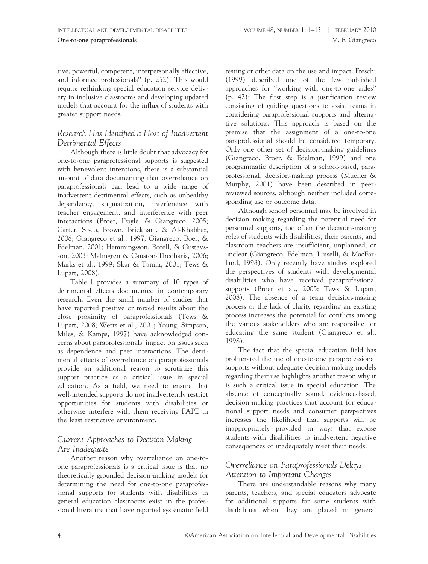tive, powerful, competent, interpersonally effective, and informed professionals'' (p. 252). This would require rethinking special education service delivery in inclusive classrooms and developing updated models that account for the influx of students with greater support needs.

## Research Has Identified a Host of Inadvertent Detrimental Effects

Although there is little doubt that advocacy for one-to-one paraprofessional supports is suggested with benevolent intentions, there is a substantial amount of data documenting that overreliance on paraprofessionals can lead to a wide range of inadvertent detrimental effects, such as unhealthy dependency, stigmatization, interference with teacher engagement, and interference with peer interactions (Broer, Doyle, & Giangreco, 2005; Carter, Sisco, Brown, Brickham, & Al-Khabbaz, 2008; Giangreco et al., 1997; Giangreco, Boer, & Edelman, 2001; Hemmingsson, Borell, & Gustavsson, 2003; Malmgren & Causton-Theoharis, 2006; Marks et al., 1999; Skar & Tamm, 2001; Tews & Lupart, 2008).

Table 1 provides a summary of 10 types of detrimental effects documented in contemporary research. Even the small number of studies that have reported positive or mixed results about the close proximity of paraprofessionals (Tews & Lupart, 2008; Werts et al., 2001; Young, Simpson, Miles, & Kamps, 1997) have acknowledged concerns about paraprofessionals' impact on issues such as dependence and peer interactions. The detrimental effects of overreliance on paraprofessionals provide an additional reason to scrutinize this support practice as a critical issue in special education. As a field, we need to ensure that well-intended supports do not inadvertently restrict opportunities for students with disabilities or otherwise interfere with them receiving FAPE in the least restrictive environment.

# Current Approaches to Decision Making Are Inadequate

Another reason why overreliance on one-toone paraprofessionals is a critical issue is that no theoretically grounded decision-making models for determining the need for one-to-one paraprofessional supports for students with disabilities in general education classrooms exist in the professional literature that have reported systematic field testing or other data on the use and impact. Freschi (1999) described one of the few published approaches for ''working with one-to-one aides'' (p. 42): The first step is a justification review consisting of guiding questions to assist teams in considering paraprofessional supports and alternative solutions. This approach is based on the premise that the assignment of a one-to-one paraprofessional should be considered temporary. Only one other set of decision-making guidelines (Giangreco, Broer, & Edelman, 1999) and one programmatic description of a school-based, paraprofessional, decision-making process (Mueller & Murphy, 2001) have been described in peerreviewed sources, although neither included corresponding use or outcome data.

Although school personnel may be involved in decision making regarding the potential need for personnel supports, too often the decision-making roles of students with disabilities, their parents, and classroom teachers are insufficient, unplanned, or unclear (Giangreco, Edelman, Luiselli, & MacFarland, 1998). Only recently have studies explored the perspectives of students with developmental disabilities who have received paraprofessional supports (Broer et al., 2005; Tews & Lupart, 2008). The absence of a team decision-making process or the lack of clarity regarding an existing process increases the potential for conflicts among the various stakeholders who are responsible for educating the same student (Giangreco et al., 1998).

The fact that the special education field has proliferated the use of one-to-one paraprofessional supports without adequate decision-making models regarding their use highlights another reason why it is such a critical issue in special education. The absence of conceptually sound, evidence-based, decision-making practices that account for educational support needs and consumer perspectives increases the likelihood that supports will be inappropriately provided in ways that expose students with disabilities to inadvertent negative consequences or inadequately meet their needs.

# Overreliance on Paraprofessionals Delays Attention to Important Changes

There are understandable reasons why many parents, teachers, and special educators advocate for additional supports for some students with disabilities when they are placed in general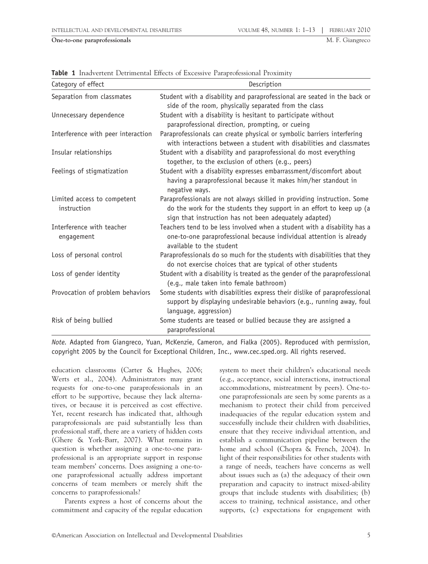| Category of effect                         | Description                                                                                                                                                                                               |
|--------------------------------------------|-----------------------------------------------------------------------------------------------------------------------------------------------------------------------------------------------------------|
| Separation from classmates                 | Student with a disability and paraprofessional are seated in the back or<br>side of the room, physically separated from the class                                                                         |
| Unnecessary dependence                     | Student with a disability is hesitant to participate without<br>paraprofessional direction, prompting, or cueing                                                                                          |
| Interference with peer interaction         | Paraprofessionals can create physical or symbolic barriers interfering<br>with interactions between a student with disabilities and classmates                                                            |
| Insular relationships                      | Student with a disability and paraprofessional do most everything<br>together, to the exclusion of others (e.g., peers)                                                                                   |
| Feelings of stigmatization                 | Student with a disability expresses embarrassment/discomfort about<br>having a paraprofessional because it makes him/her standout in<br>negative ways.                                                    |
| Limited access to competent<br>instruction | Paraprofessionals are not always skilled in providing instruction. Some<br>do the work for the students they support in an effort to keep up (a<br>sign that instruction has not been adequately adapted) |
| Interference with teacher<br>engagement    | Teachers tend to be less involved when a student with a disability has a<br>one-to-one paraprofessional because individual attention is already<br>available to the student                               |
| Loss of personal control                   | Paraprofessionals do so much for the students with disabilities that they<br>do not exercise choices that are typical of other students                                                                   |
| Loss of gender identity                    | Student with a disability is treated as the gender of the paraprofessional<br>(e.g., male taken into female bathroom)                                                                                     |
| Provocation of problem behaviors           | Some students with disabilities express their dislike of paraprofessional<br>support by displaying undesirable behaviors (e.g., running away, foul<br>language, aggression)                               |
| Risk of being bullied                      | Some students are teased or bullied because they are assigned a<br>paraprofessional                                                                                                                       |

| Table 1 Inadvertent Detrimental Effects of Excessive Paraprofessional Proximity |  |
|---------------------------------------------------------------------------------|--|
|---------------------------------------------------------------------------------|--|

Note. Adapted from Giangreco, Yuan, McKenzie, Cameron, and Fialka (2005). Reproduced with permission, copyright 2005 by the Council for Exceptional Children, Inc., www.cec.sped.org. All rights reserved.

education classrooms (Carter & Hughes, 2006; Werts et al., 2004). Administrators may grant requests for one-to-one paraprofessionals in an effort to be supportive, because they lack alternatives, or because it is perceived as cost effective. Yet, recent research has indicated that, although paraprofessionals are paid substantially less than professional staff, there are a variety of hidden costs (Ghere & York-Barr, 2007). What remains in question is whether assigning a one-to-one paraprofessional is an appropriate support in response team members' concerns. Does assigning a one-toone paraprofessional actually address important concerns of team members or merely shift the concerns to paraprofessionals?

Parents express a host of concerns about the commitment and capacity of the regular education system to meet their children's educational needs (e.g., acceptance, social interactions, instructional accommodations, mistreatment by peers). One-toone paraprofessionals are seen by some parents as a mechanism to protect their child from perceived inadequacies of the regular education system and successfully include their children with disabilities, ensure that they receive individual attention, and establish a communication pipeline between the home and school (Chopra & French, 2004). In light of their responsibilities for other students with a range of needs, teachers have concerns as well about issues such as (a) the adequacy of their own preparation and capacity to instruct mixed-ability groups that include students with disabilities; (b) access to training, technical assistance, and other supports, (c) expectations for engagement with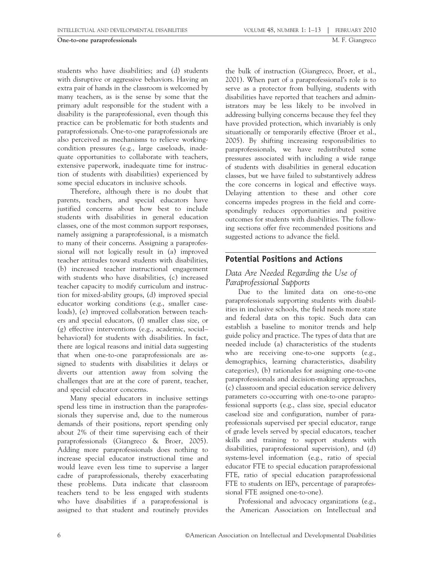students who have disabilities; and (d) students with disruptive or aggressive behaviors. Having an extra pair of hands in the classroom is welcomed by many teachers, as is the sense by some that the primary adult responsible for the student with a disability is the paraprofessional, even though this practice can be problematic for both students and paraprofessionals. One-to-one paraprofessionals are also perceived as mechanisms to relieve workingcondition pressures (e.g., large caseloads, inadequate opportunities to collaborate with teachers, extensive paperwork, inadequate time for instruction of students with disabilities) experienced by some special educators in inclusive schools.

Therefore, although there is no doubt that parents, teachers, and special educators have justified concerns about how best to include students with disabilities in general education classes, one of the most common support responses, namely assigning a paraprofessional, is a mismatch to many of their concerns. Assigning a paraprofessional will not logically result in (a) improved teacher attitudes toward students with disabilities, (b) increased teacher instructional engagement with students who have disabilities, (c) increased teacher capacity to modify curriculum and instruction for mixed-ability groups, (d) improved special educator working conditions (e.g., smaller caseloads), (e) improved collaboration between teachers and special educators, (f) smaller class size, or (g) effective interventions (e.g., academic, social– behavioral) for students with disabilities. In fact, there are logical reasons and initial data suggesting that when one-to-one paraprofessionals are assigned to students with disabilities it delays or diverts our attention away from solving the challenges that are at the core of parent, teacher, and special educator concerns.

Many special educators in inclusive settings spend less time in instruction than the paraprofessionals they supervise and, due to the numerous demands of their positions, report spending only about 2% of their time supervising each of their paraprofessionals (Giangreco & Broer, 2005). Adding more paraprofessionals does nothing to increase special educator instructional time and would leave even less time to supervise a larger cadre of paraprofessionals, thereby exacerbating these problems. Data indicate that classroom teachers tend to be less engaged with students who have disabilities if a paraprofessional is assigned to that student and routinely provides the bulk of instruction (Giangreco, Broer, et al., 2001). When part of a paraprofessional's role is to serve as a protector from bullying, students with disabilities have reported that teachers and administrators may be less likely to be involved in addressing bullying concerns because they feel they have provided protection, which invariably is only situationally or temporarily effective (Broer et al., 2005). By shifting increasing responsibilities to paraprofessionals, we have redistributed some pressures associated with including a wide range of students with disabilities in general education classes, but we have failed to substantively address the core concerns in logical and effective ways. Delaying attention to these and other core concerns impedes progress in the field and correspondingly reduces opportunities and positive outcomes for students with disabilities. The following sections offer five recommended positions and suggested actions to advance the field.

# Potential Positions and Actions

## Data Are Needed Regarding the Use of Paraprofessional Supports

Due to the limited data on one-to-one paraprofessionals supporting students with disabilities in inclusive schools, the field needs more state and federal data on this topic. Such data can establish a baseline to monitor trends and help guide policy and practice. The types of data that are needed include (a) characteristics of the students who are receiving one-to-one supports (e.g., demographics, learning characteristics, disability categories), (b) rationales for assigning one-to-one paraprofessionals and decision-making approaches, (c) classroom and special education service delivery parameters co-occurring with one-to-one paraprofessional supports (e.g., class size, special educator caseload size and configuration, number of paraprofessionals supervised per special educator, range of grade levels served by special educators, teacher skills and training to support students with disabilities, paraprofessional supervision), and (d) systems-level information (e.g., ratio of special educator FTE to special education paraprofessional FTE, ratio of special education paraprofessional FTE to students on IEPs, percentage of paraprofessional FTE assigned one-to-one).

Professional and advocacy organizations (e.g., the American Association on Intellectual and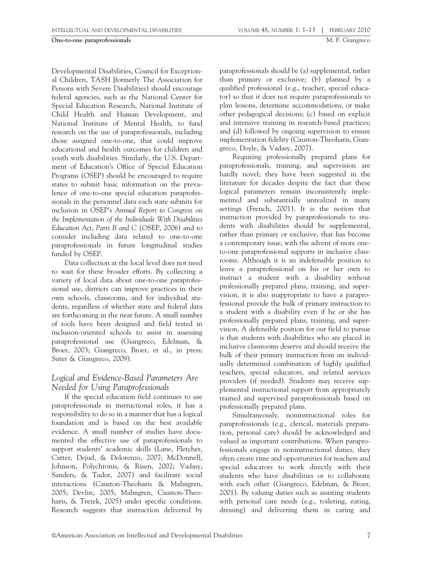Developmental Disabilities, Council for Exceptional Children, TASH [formerly The Association for Persons with Severe Disabilities) should encourage federal agencies, such as the National Center for Special Education Research, National Institute of Child Health and Human Development, and National Institute of Mental Health, to fund research on the use of paraprofessionals, including those assigned one-to-one, that could improve educational and health outcomes for children and youth with disabilities. Similarly, the U.S. Department of Education's Office of Special Education Programs (OSEP) should be encouraged to require states to submit basic information on the prevalence of one-to-one special education paraprofessionals in the personnel data each state submits for inclusion in OSEP's Annual Report to Congress on the Implementation of the Individuals With Disabilities Education Act, Parts B and C (OSEP, 2006) and to consider including data related to one-to-one paraprofessionals in future longitudinal studies funded by OSEP.

Data collection at the local level does not need to wait for these broader efforts. By collecting a variety of local data about one-to-one paraprofessional use, districts can improve practices in their own schools, classrooms, and for individual students, regardless of whether state and federal data are forthcoming in the near future. A small number of tools have been designed and field tested in inclusion-oriented schools to assist in assessing paraprofessional use (Giangreco, Edelman, & Broer, 2003; Giangreco, Broer, et al., in press; Suter & Giangreco, 2009).

# Logical and Evidence-Based Parameters Are Needed for Using Paraprofessionals

If the special education field continues to use paraprofessionals in instructional roles, it has a responsibility to do so in a manner that has a logical foundation and is based on the best available evidence. A small number of studies have documented the effective use of paraprofessionals to support students' academic skills (Lane, Fletcher, Carter, Dejud, & Delorenzo, 2007; McDonnell, Johnson, Polychronis, & Risen, 2002; Vadasy, Sanders, & Tudor, 2007) and facilitate social interactions (Causton-Theoharis & Malmgren, 2005; Devlin, 2005; Malmgren, Causton-Theoharis, & Trezek, 2005) under specific conditions. Research suggests that instruction delivered by paraprofessionals should be (a) supplemental, rather than primary or exclusive; (b) planned by a qualified professional (e.g., teacher, special educator) so that it does not require paraprofessionals to plan lessons, determine accommodations, or make other pedagogical decisions; (c) based on explicit and intensive training in research-based practices; and (d) followed by ongoing supervision to ensure implementation fidelity (Causton-Theoharis, Giangreco, Doyle, & Vadasy, 2007).

Requiring professionally prepared plans for paraprofessionals, training, and supervision are hardly novel; they have been suggested in the literature for decades despite the fact that these logical parameters remain inconsistently implemented and substantially unrealized in many settings (French, 2001). It is the notion that instruction provided by paraprofessionals to students with disabilities should be supplemental, rather than primary or exclusive, that has become a contemporary issue, with the advent of more oneto-one paraprofessional supports in inclusive classrooms. Although it is an indefensible position to leave a paraprofessional on his or her own to instruct a student with a disability without professionally prepared plans, training, and supervision, it is also inappropriate to have a paraprofessional provide the bulk of primary instruction to a student with a disability even if he or she has professionally prepared plans, training, and supervision. A defensible position for our field to pursue is that students with disabilities who are placed in inclusive classrooms deserve and should receive the bulk of their primary instruction from an individually determined combination of highly qualified teachers, special educators, and related services providers (if needed). Students may receive supplemental instructional support from appropriately trained and supervised paraprofessionals based on professionally prepared plans.

Simultaneously, noninstructional roles for paraprofessionals (e.g., clerical, materials preparation, personal care) should be acknowledged and valued as important contributions. When paraprofessionals engage in noninstructional duties, they often create time and opportunities for teachers and special educators to work directly with their students who have disabilities or to collaborate with each other (Giangreco, Edelman, & Broer, 2001). By valuing duties such as assisting students with personal care needs (e.g., toileting, eating, dressing) and delivering them in caring and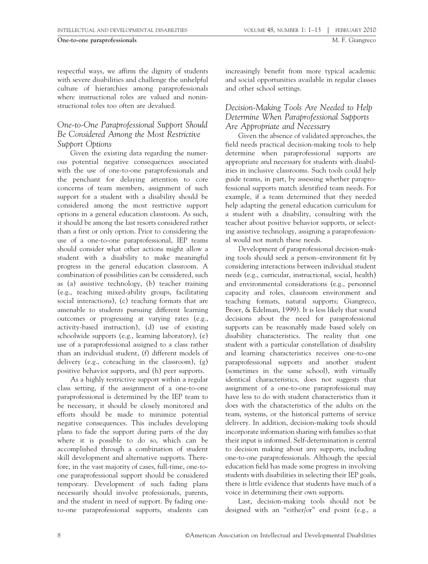respectful ways, we affirm the dignity of students with severe disabilities and challenge the unhelpful culture of hierarchies among paraprofessionals where instructional roles are valued and noninstructional roles too often are devalued.

## One-to-One Paraprofessional Support Should Be Considered Among the Most Restrictive Support Options

Given the existing data regarding the numerous potential negative consequences associated with the use of one-to-one paraprofessionals and the penchant for delaying attention to core concerns of team members, assignment of such support for a student with a disability should be considered among the most restrictive support options in a general education classroom. As such, it should be among the last resorts considered rather than a first or only option. Prior to considering the use of a one-to-one paraprofessional, IEP teams should consider what other actions might allow a student with a disability to make meaningful progress in the general education classroom. A combination of possibilities can be considered, such as (a) assistive technology, (b) teacher training (e.g., teaching mixed-ability groups, facilitating social interactions), (c) teaching formats that are amenable to students pursuing different learning outcomes or progressing at varying rates (e.g., activity-based instruction), (d) use of existing schoolwide supports (e.g., learning laboratory), (e) use of a paraprofessional assigned to a class rather than an individual student, (f) different models of delivery (e.g., coteaching in the classroom),  $(g)$ positive behavior supports, and (h) peer supports.

As a highly restrictive support within a regular class setting, if the assignment of a one-to-one paraprofessional is determined by the IEP team to be necessary, it should be closely monitored and efforts should be made to minimize potential negative consequences. This includes developing plans to fade the support during parts of the day where it is possible to do so, which can be accomplished through a combination of student skill development and alternative supports. Therefore, in the vast majority of cases, full-time, one-toone paraprofessional support should be considered temporary. Development of such fading plans necessarily should involve professionals, parents, and the student in need of support. By fading oneto-one paraprofessional supports, students can increasingly benefit from more typical academic and social opportunities available in regular classes and other school settings.

# Decision-Making Tools Are Needed to Help Determine When Paraprofessional Supports Are Appropriate and Necessary

Given the absence of validated approaches, the field needs practical decision-making tools to help determine when paraprofessional supports are appropriate and necessary for students with disabilities in inclusive classrooms. Such tools could help guide teams, in part, by assessing whether paraprofessional supports match identified team needs. For example, if a team determined that they needed help adapting the general education curriculum for a student with a disability, consulting with the teacher about positive behavior supports, or selecting assistive technology, assigning a paraprofessional would not match these needs.

Development of paraprofessional decision-making tools should seek a person–environment fit by considering interactions between individual student needs (e.g., curricular, instructional, social, health) and environmental considerations (e.g., personnel capacity and roles, classroom environment and teaching formats, natural supports; Giangreco, Broer, & Edelman, 1999). It is less likely that sound decisions about the need for paraprofessional supports can be reasonably made based solely on disability characteristics. The reality that one student with a particular constellation of disability and learning characteristics receives one-to-one paraprofessional supports and another student (sometimes in the same school), with virtually identical characteristics, does not suggests that assignment of a one-to-one paraprofessional may have less to do with student characteristics than it does with the characteristics of the adults on the team, systems, or the historical patterns of service delivery. In addition, decision-making tools should incorporate information sharing with families so that their input is informed. Self-determination is central to decision making about any supports, including one-to-one paraprofessionals. Although the special education field has made some progress in involving students with disabilities in selecting their IEP goals, there is little evidence that students have much of a voice in determining their own supports.

Last, decision-making tools should not be designed with an ''either/or'' end point (e.g., a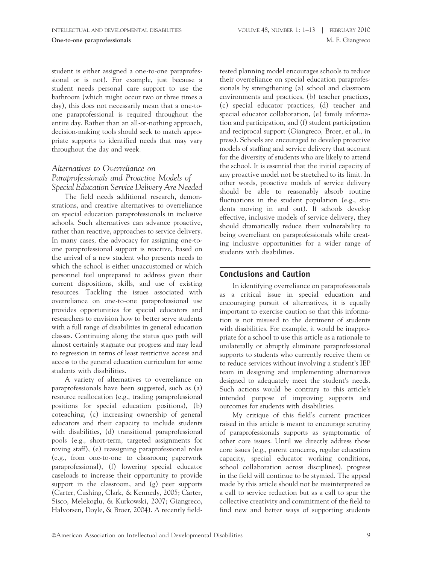student is either assigned a one-to-one paraprofessional or is not). For example, just because a student needs personal care support to use the bathroom (which might occur two or three times a day), this does not necessarily mean that a one-toone paraprofessional is required throughout the entire day. Rather than an all-or-nothing approach, decision-making tools should seek to match appropriate supports to identified needs that may vary throughout the day and week.

## Alternatives to Overreliance on Paraprofessionals and Proactive Models of Special Education Service Delivery Are Needed

The field needs additional research, demonstrations, and creative alternatives to overreliance on special education paraprofessionals in inclusive schools. Such alternatives can advance proactive, rather than reactive, approaches to service delivery. In many cases, the advocacy for assigning one-toone paraprofessional support is reactive, based on the arrival of a new student who presents needs to which the school is either unaccustomed or which personnel feel unprepared to address given their current dispositions, skills, and use of existing resources. Tackling the issues associated with overreliance on one-to-one paraprofessional use provides opportunities for special educators and researchers to envision how to better serve students with a full range of disabilities in general education classes. Continuing along the status quo path will almost certainly stagnate our progress and may lead to regression in terms of least restrictive access and access to the general education curriculum for some students with disabilities.

A variety of alternatives to overreliance on paraprofessionals have been suggested, such as (a) resource reallocation (e.g., trading paraprofessional positions for special education positions), (b) coteaching, (c) increasing ownership of general educators and their capacity to include students with disabilities, (d) transitional paraprofessional pools (e.g., short-term, targeted assignments for roving staff), (e) reassigning paraprofessional roles (e.g., from one-to-one to classroom; paperwork paraprofessional), (f) lowering special educator caseloads to increase their opportunity to provide support in the classroom, and (g) peer supports (Carter, Cushing, Clark, & Kennedy, 2005; Carter, Sisco, Melekoglu, & Kurkowski, 2007; Giangreco, Halvorsen, Doyle, & Broer, 2004). A recently fieldtested planning model encourages schools to reduce their overreliance on special education paraprofessionals by strengthening (a) school and classroom environments and practices, (b) teacher practices, (c) special educator practices, (d) teacher and special educator collaboration, (e) family information and participation, and (f) student participation and reciprocal support (Giangreco, Broer, et al., in press). Schools are encouraged to develop proactive models of staffing and service delivery that account for the diversity of students who are likely to attend the school. It is essential that the initial capacity of any proactive model not be stretched to its limit. In other words, proactive models of service delivery should be able to reasonably absorb routine fluctuations in the student population (e.g., students moving in and out). If schools develop effective, inclusive models of service delivery, they should dramatically reduce their vulnerability to being overreliant on paraprofessionals while creating inclusive opportunities for a wider range of students with disabilities.

# Conclusions and Caution

In identifying overreliance on paraprofessionals as a critical issue in special education and encouraging pursuit of alternatives, it is equally important to exercise caution so that this information is not misused to the detriment of students with disabilities. For example, it would be inappropriate for a school to use this article as a rationale to unilaterally or abruptly eliminate paraprofessional supports to students who currently receive them or to reduce services without involving a student's IEP team in designing and implementing alternatives designed to adequately meet the student's needs. Such actions would be contrary to this article's intended purpose of improving supports and outcomes for students with disabilities.

My critique of this field's current practices raised in this article is meant to encourage scrutiny of paraprofessionals supports as symptomatic of other core issues. Until we directly address those core issues (e.g., parent concerns, regular education capacity, special educator working conditions, school collaboration across disciplines), progress in the field will continue to be stymied. The appeal made by this article should not be misinterpreted as a call to service reduction but as a call to spur the collective creativity and commitment of the field to find new and better ways of supporting students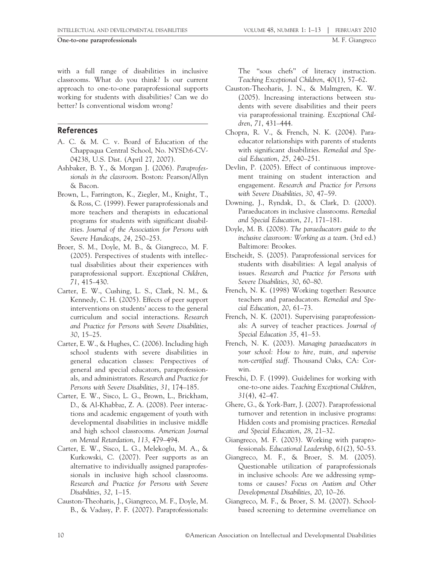with a full range of disabilities in inclusive classrooms. What do you think? Is our current approach to one-to-one paraprofessional supports working for students with disabilities? Can we do better? Is conventional wisdom wrong?

## References

- A. C. & M. C. v. Board of Education of the Chappaqua Central School, No. NYSD:6-CV-04238, U.S. Dist. (April 27, 2007).
- Ashbaker, B. Y., & Morgan J. (2006). Paraprofessionals in the classroom. Boston: Pearson/Allyn & Bacon.
- Brown, L., Farrington, K., Ziegler, M., Knight, T., & Ross, C. (1999). Fewer paraprofessionals and more teachers and therapists in educational programs for students with significant disabilities. Journal of the Association for Persons with Severe Handicaps, 24, 250–253.
- Broer, S. M., Doyle, M. B., & Giangreco, M. F. (2005). Perspectives of students with intellectual disabilities about their experiences with paraprofessional support. Exceptional Children, 71, 415–430.
- Carter, E. W., Cushing, L. S., Clark, N. M., & Kennedy, C. H. (2005). Effects of peer support interventions on students' access to the general curriculum and social interactions. Research and Practice for Persons with Severe Disabilities, 30, 15–25.
- Carter, E. W., & Hughes, C. (2006). Including high school students with severe disabilities in general education classes: Perspectives of general and special educators, paraprofessionals, and administrators. Research and Practice for Persons with Severe Disabilities, 31, 174–185.
- Carter, E. W., Sisco, L. G., Brown, L., Brickham, D., & Al-Khabbaz, Z. A. (2008). Peer interactions and academic engagement of youth with developmental disabilities in inclusive middle and high school classrooms. American Journal on Mental Retardation, 113, 479–494.
- Carter, E. W., Sisco, L. G., Melekoglu, M. A., & Kurkowski, C. (2007). Peer supports as an alternative to individually assigned paraprofessionals in inclusive high school classrooms. Research and Practice for Persons with Severe Disabilities, 32, 1–15.
- Causton-Theoharis, J., Giangreco, M. F., Doyle, M. B., & Vadasy, P. F. (2007). Paraprofessionals:

The "sous chefs" of literacy instruction. Teaching Exceptional Children, 40(1), 57–62.

- Causton-Theoharis, J. N., & Malmgren, K. W. (2005). Increasing interactions between students with severe disabilities and their peers via paraprofessional training. Exceptional Children, 71, 431–444.
- Chopra, R. V., & French, N. K. (2004). Paraeducator relationships with parents of students with significant disabilities. Remedial and Special Education, 25, 240–251.
- Devlin, P. (2005). Effect of continuous improvement training on student interaction and engagement. Research and Practice for Persons with Severe Disabilities, 30, 47–59.
- Downing, J., Ryndak, D., & Clark, D. (2000). Paraeducators in inclusive classrooms. Remedial and Special Education, 21, 171–181.
- Doyle, M. B. (2008). The paraeducators guide to the inclusive classroom: Working as a team. (3rd ed.) Baltimore: Brookes.
- Etscheidt, S. (2005). Paraprofessional services for students with disabilities: A legal analysis of issues. Research and Practice for Persons with Severe Disabilities, 30, 60–80.
- French, N. K. (1998) Working together: Resource teachers and paraeducators. Remedial and Special Education, 20, 61–73.
- French, N. K. (2001). Supervising paraprofessionals: A survey of teacher practices. Journal of Special Education 35, 41–53.
- French, N. K. (2003). Managing paraeducators in your school: How to hire, train, and supervise non-certified staff. Thousand Oaks, CA: Corwin.
- Freschi, D. F. (1999). Guidelines for working with one-to-one aides. Teaching Exceptional Children, 31(4), 42–47.
- Ghere, G., & York-Barr, J. (2007). Paraprofessional turnover and retention in inclusive programs: Hidden costs and promising practices. Remedial and Special Education, 28, 21–32.
- Giangreco, M. F. (2003). Working with paraprofessionals. Educational Leadership, 61(2), 50–53.
- Giangreco, M. F., & Broer, S. M. (2005). Questionable utilization of paraprofessionals in inclusive schools: Are we addressing symptoms or causes? Focus on Autism and Other Developmental Disabilities, 20, 10–26.
- Giangreco, M. F., & Broer, S. M. (2007). Schoolbased screening to determine overreliance on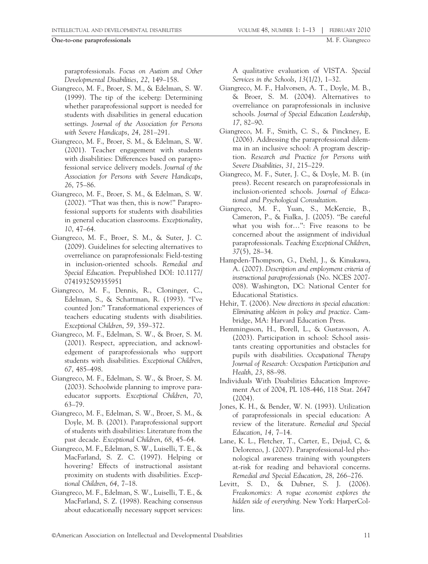paraprofessionals. Focus on Autism and Other Developmental Disabilities, 22, 149–158.

- Giangreco, M. F., Broer, S. M., & Edelman, S. W. (1999). The tip of the iceberg: Determining whether paraprofessional support is needed for students with disabilities in general education settings. Journal of the Association for Persons with Severe Handicaps, 24, 281–291.
- Giangreco, M. F., Broer, S. M., & Edelman, S. W. (2001). Teacher engagement with students with disabilities: Differences based on paraprofessional service delivery models. Journal of the Association for Persons with Severe Handicaps, 26, 75–86.
- Giangreco, M. F., Broer, S. M., & Edelman, S. W. (2002). ''That was then, this is now!'' Paraprofessional supports for students with disabilities in general education classrooms. Exceptionality, 10, 47–64.
- Giangreco, M. F., Broer, S. M., & Suter, J. C. (2009). Guidelines for selecting alternatives to overreliance on paraprofessionals: Field-testing in inclusion-oriented schools. Remedial and Special Education. Prepublished DOI: 10.1177/ 0741932509355951
- Giangreco, M. F., Dennis, R., Cloninger, C., Edelman, S., & Schattman, R. (1993). ''I've counted Jon:'' Transformational experiences of teachers educating students with disabilities. Exceptional Children, 59, 359–372.
- Giangreco, M. F., Edelman, S. W., & Broer, S. M. (2001). Respect, appreciation, and acknowledgement of paraprofessionals who support students with disabilities. Exceptional Children, 67, 485–498.
- Giangreco, M. F., Edelman, S. W., & Broer, S. M. (2003). Schoolwide planning to improve paraeducator supports. Exceptional Children, 70, 63–79.
- Giangreco, M. F., Edelman, S. W., Broer, S. M., & Doyle, M. B. (2001). Paraprofessional support of students with disabilities: Literature from the past decade. Exceptional Children, 68, 45–64.
- Giangreco, M. F., Edelman, S. W., Luiselli, T. E., & MacFarland, S. Z. C. (1997). Helping or hovering? Effects of instructional assistant proximity on students with disabilities. Exceptional Children, 64, 7–18.
- Giangreco, M. F., Edelman, S. W., Luiselli, T. E., & MacFarland, S. Z. (1998). Reaching consensus about educationally necessary support services:

A qualitative evaluation of VISTA. Special Services in the Schools, 13(1/2), 1–32.

- Giangreco, M. F., Halvorsen, A. T., Doyle, M. B., & Broer, S. M. (2004). Alternatives to overreliance on paraprofessionals in inclusive schools. Journal of Special Education Leadership, 17, 82–90.
- Giangreco, M. F., Smith, C. S., & Pinckney, E. (2006). Addressing the paraprofessional dilemma in an inclusive school: A program description. Research and Practice for Persons with Severe Disabilities, 31, 215–229.
- Giangreco, M. F., Suter, J. C., & Doyle, M. B. (in press). Recent research on paraprofessionals in inclusion-oriented schools. Journal of Educational and Psychological Consultation.
- Giangreco, M. F., Yuan, S., McKenzie, B., Cameron, P., & Fialka, J. (2005). ''Be careful what you wish for…'': Five reasons to be concerned about the assignment of individual paraprofessionals. Teaching Exceptional Children, 37(5), 28–34.
- Hampden-Thompson, G., Diehl, J., & Kinukawa, A. (2007). Description and employment criteria of instructional paraprofessionals (No. NCES 2007- 008). Washington, DC: National Center for Educational Statistics.
- Hehir, T. (2006). New directions in special education: Eliminating ableism in policy and practice. Cambridge, MA: Harvard Education Press.
- Hemmingsson, H., Borell, L., & Gustavsson, A. (2003). Participation in school: School assistants creating opportunities and obstacles for pupils with disabilities. Occupational Therapy Journal of Research: Occupation Participation and Health, 23, 88–98.
- Individuals With Disabilities Education Improvement Act of 2004, PL 108-446, 118 Stat. 2647 (2004).
- Jones, K. H., & Bender, W. N. (1993). Utilization of paraprofessionals in special education: A review of the literature. Remedial and Special Education, 14, 7–14.
- Lane, K. L., Fletcher, T., Carter, E., Dejud, C, & Delorenzo, J. (2007). Paraprofessional-led phonological awareness training with youngsters at-risk for reading and behavioral concerns. Remedial and Special Education, 28, 266–276.
- Levitt, S. D., & Dubner, S. J. (2006). Freakonomics: A rogue economist explores the hidden side of everything. New York: HarperCollins.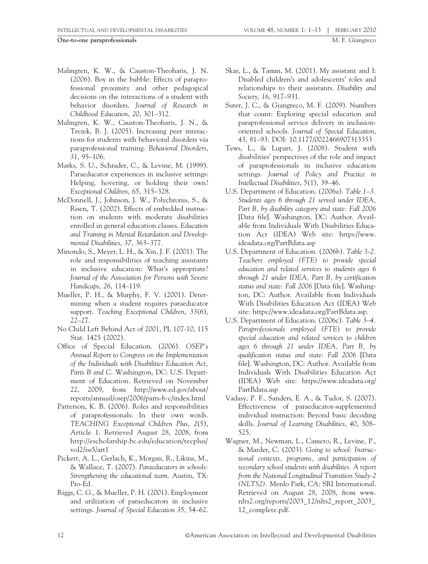- Malmgren, K. W., & Causton-Theoharis, J. N. (2006). Boy in the bubble: Effects of paraprofessional proximity and other pedagogical decisions on the interactions of a student with behavior disorders. Journal of Research in Childhood Education, 20, 301–312.
- Malmgren, K. W., Causton-Theoharis, J. N., & Trezek, B. J. (2005). Increasing peer interactions for students with behavioral disorders via paraprofessional training. Behavioral Disorders, 31, 95–106.
- Marks, S. U., Schrader, C., & Levine, M. (1999). Paraeducator experiences in inclusive settings: Helping, hovering, or holding their own? Exceptional Children, 65, 315–328.
- McDonnell, J., Johnson, J. W., Polychronis, S., & Risen, T. (2002). Effects of embedded instruction on students with moderate disabilities enrolled in general education classes. Education and Training in Mental Retardation and Developmental Disabilities, 37, 363–377.
- Minondo, S., Meyer, L. H., & Xin, J. F. (2001). The role and responsibilities of teaching assistants in inclusive education: What's appropriate? Journal of the Association for Persons with Severe Handicaps, 26, 114–119.
- Mueller, P. H., & Murphy, F. V. (2001). Determining when a student requires paraeducator support. Teaching Exceptional Children, 33(6), 22–27.
- No Child Left Behind Act of 2001, PL 107-10, 115 Stat. 1425 (2002).
- Office of Special Education. (2006). OSEP's Annual Report to Congress on the Implementation of the Individuals with Disabilities Education Act, Parts B and C. Washington, DC: U.S. Department of Education. Retrieved on November 22, 2009, from http://www.ed.gov/about/ reports/annual/osep/2006/parts-b-c/index.html
- Patterson, K. B. (2006). Roles and responsibilities of paraprofessionals: In their own words. TEACHING Exceptional Children Plus, 2(5), Article 1. Retrieved August 28, 2008, from http://escholarship.bc.edu/education/tecplus/ vol2/iss5/art1
- Pickett, A. L., Gerlach, K., Morgan, R., Likins, M., & Wallace, T. (2007). Paraeducators in schools: Strengthening the educational team. Austin, TX: Pro-Ed.
- Riggs, C. G., & Mueller, P. H. (2001). Employment and utilization of paraeducators in inclusive settings. Journal of Special Education 35, 54–62.
- Skar, L., & Tamm, M. (2001). My assistant and I: Disabled children's and adolescents' roles and relationships to their assistants. Disability and Society, 16, 917–931.
- Suter, J. C., & Giangreco, M. F. (2009). Numbers that count: Exploring special education and paraprofessional service delivery in inclusionoriented schools. Journal of Special Education, 43, 81–93. DOI: 10.1177/0022466907313353
- Tews, L., & Lupart, J. (2008). Student with disabilities' perspectives of the role and impact of paraprofessionals in inclusive education settings. Journal of Policy and Practice in Intellectual Disabilities, 5(1), 39–46.
- U.S. Department of Education. (2006a). Table 1–3. Students ages 6 through 21 served under IDEA, Part B, by disability category and state: Fall 2006 [Data file]. Washington, DC: Author. Available from Individuals With Disabilities Education Act (IDEA) Web site: https://www. ideadata.org/PartBdata.asp
- U.S. Department of Education. (2006b). Table 3-2. Teachers employed (FTE) to provide special education and related services to students ages 6 through 21 under IDEA, Part B, by certification status and state: Fall 2006 [Data file]. Washington, DC: Author. Available from Individuals With Disabilities Education Act (IDEA) Web site: https://www.ideadata.org/PartBdata.asp.
- U.S. Department of Education. (2006c). Table 3–4. Paraprofessionals employed (FTE) to provide special education and related services to children ages 6 through 21 under IDEA, Part B, by qualification status and state: Fall 2006 [Data file]. Washington, DC: Author. Available from Individuals With Disabilities Education Act (IDEA) Web site: https://www.ideadata.org/ PartBdata.asp
- Vadasy, P. F., Sanders, E. A., & Tudor, S. (2007). Effectiveness of paraeducator-supplemented individual instruction: Beyond basic decoding skills. Journal of Learning Disabilities, 40, 508– 525.
- Wagner, M., Newman, L., Cameto, R., Levine, P., & Marder, C. (2003). Going to school: Instructional contexts, programs, and participation of secondary school students with disabilities. A report from the National Longitudinal Transition Study-2 (NLTS2). Menlo Park, CA: SRI International. Retrieved on August 28, 2008, from www. nlts2.org/reports/2003\_12/nlts2\_report\_2003\_ 12\_complete.pdf.